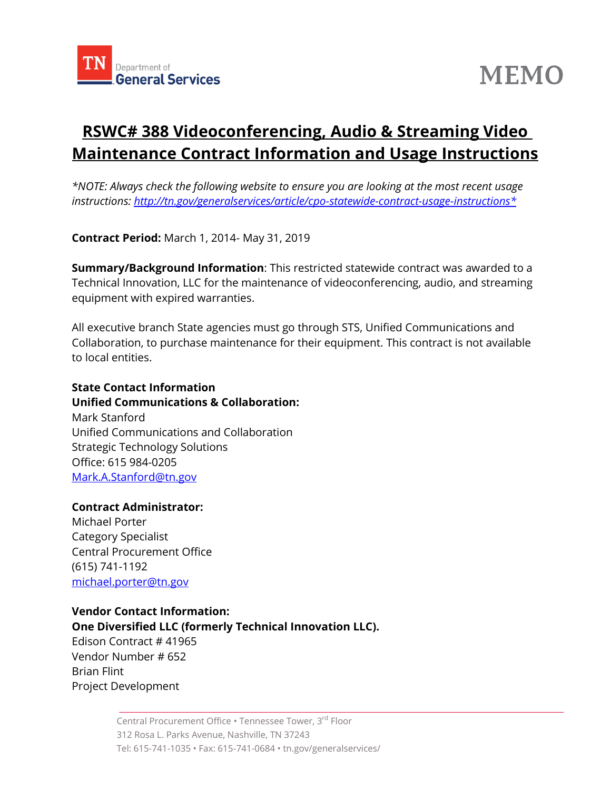



# **RSWC# 388 Videoconferencing, Audio & Streaming Video Maintenance Contract Information and Usage Instructions**

*\*NOTE: Always check the following website to ensure you are looking at the most recent usage instructions: [http://tn.gov/generalservices/article/cpo-statewide-contract-usage-instructions\\*](http://tn.gov/generalservices/article/cpo-statewide-contract-usage-instructions*)*

**Contract Period:** March 1, 2014- May 31, 2019

**Summary/Background Information**: This restricted statewide contract was awarded to a Technical Innovation, LLC for the maintenance of videoconferencing, audio, and streaming equipment with expired warranties.

All executive branch State agencies must go through STS, Unified Communications and Collaboration, to purchase maintenance for their equipment. This contract is not available to local entities.

## **State Contact Information Unified Communications & Collaboration:** Mark Stanford

Unified Communications and Collaboration Strategic Technology Solutions Office: 615 984-0205 Mark.A.Stanford@tn.gov

#### **Contract Administrator:**

Michael Porter Category Specialist Central Procurement Office (615) 741-1192 [michael.porter@tn.gov](mailto:michael.porter@tn.gov)

#### **Vendor Contact Information: One Diversified LLC (formerly Technical Innovation LLC).**

Edison Contract # [41965](javascript:submitAction_win0(document.win0,) Vendor Number # 652 Brian Flint Project Development

> Central Procurement Office • Tennessee Tower, 3<sup>rd</sup> Floor 312 Rosa L. Parks Avenue, Nashville, TN 37243 Tel: 615-741-1035 • Fax: 615-741-0684 • tn.gov/generalservices/